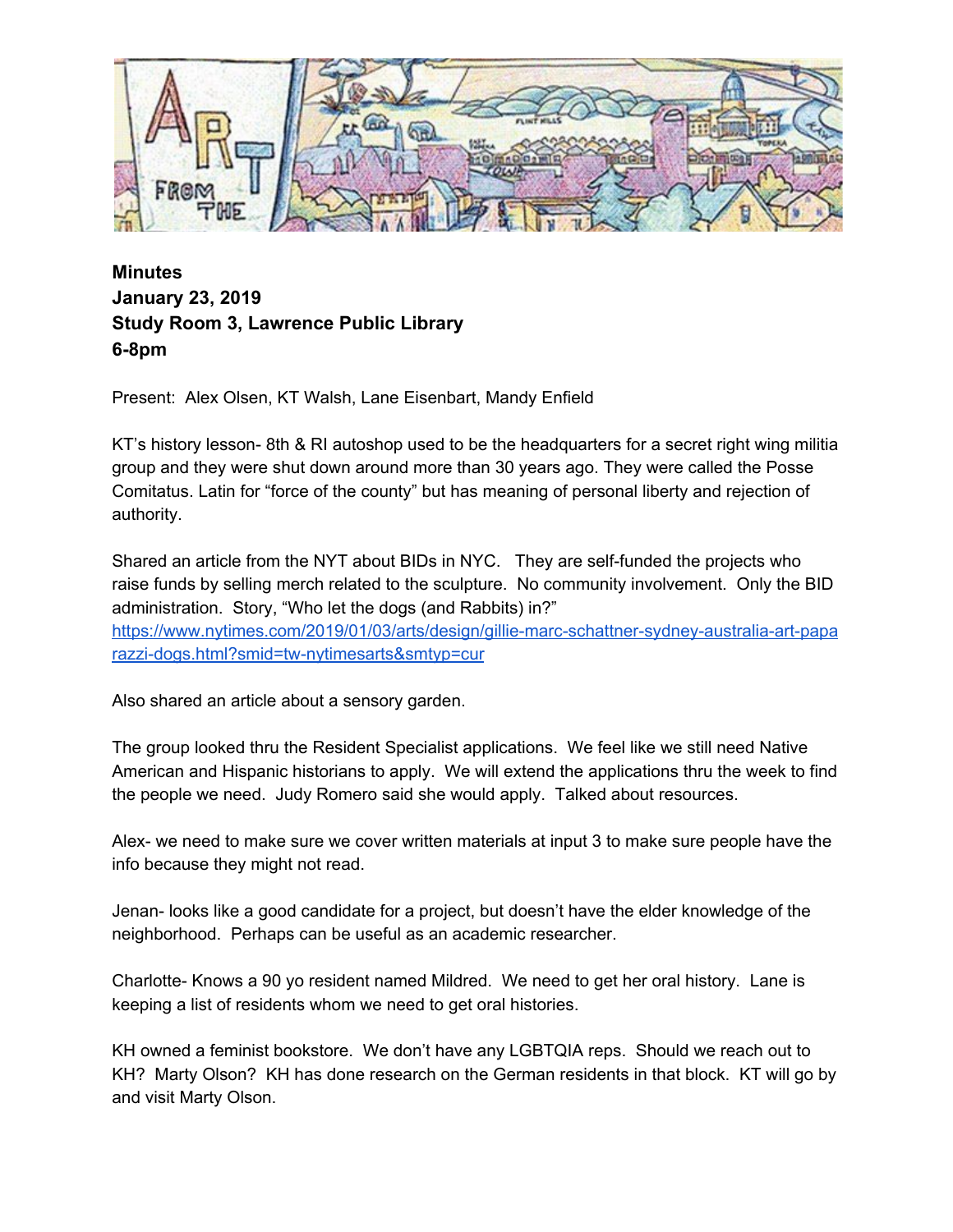

**Minutes January 23, 2019 Study Room 3, Lawrence Public Library 6-8pm**

Present: Alex Olsen, KT Walsh, Lane Eisenbart, Mandy Enfield

KT's history lesson- 8th & RI autoshop used to be the headquarters for a secret right wing militia group and they were shut down around more than 30 years ago. They were called the Posse Comitatus. Latin for "force of the county" but has meaning of personal liberty and rejection of authority.

Shared an article from the NYT about BIDs in NYC. They are self-funded the projects who raise funds by selling merch related to the sculpture. No community involvement. Only the BID administration. Story, "Who let the dogs (and Rabbits) in?" [https://www.nytimes.com/2019/01/03/arts/design/gillie-marc-schattner-sydney-australia-art-papa](https://www.nytimes.com/2019/01/03/arts/design/gillie-marc-schattner-sydney-australia-art-paparazzi-dogs.html?smid=tw-nytimesarts&smtyp=cur) [razzi-dogs.html?smid=tw-nytimesarts&smtyp=cur](https://www.nytimes.com/2019/01/03/arts/design/gillie-marc-schattner-sydney-australia-art-paparazzi-dogs.html?smid=tw-nytimesarts&smtyp=cur)

Also shared an article about a sensory garden.

The group looked thru the Resident Specialist applications. We feel like we still need Native American and Hispanic historians to apply. We will extend the applications thru the week to find the people we need. Judy Romero said she would apply. Talked about resources.

Alex- we need to make sure we cover written materials at input 3 to make sure people have the info because they might not read.

Jenan- looks like a good candidate for a project, but doesn't have the elder knowledge of the neighborhood. Perhaps can be useful as an academic researcher.

Charlotte- Knows a 90 yo resident named Mildred. We need to get her oral history. Lane is keeping a list of residents whom we need to get oral histories.

KH owned a feminist bookstore. We don't have any LGBTQIA reps. Should we reach out to KH? Marty Olson? KH has done research on the German residents in that block. KT will go by and visit Marty Olson.